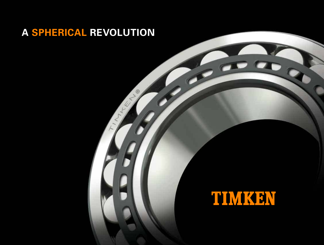## **A SPHERICAL REVOLUTION**

No of the Contract of

# TIMKHV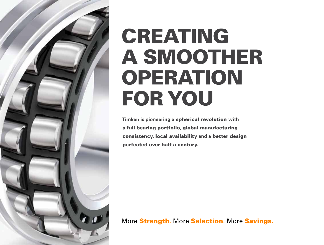

# CREATING A SMOOTHER OPERATION FOR YOU

**Timken is pioneering a** spherical revolution **with a** full bearing portfolio**,** global manufacturing consistency**,** local availability **and a** better design perfected over half a century.

More Strength. More Selection. More Savings**.**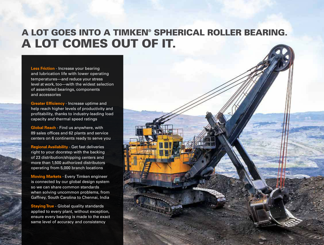## A LOT GOES INTO A TIMKEN® SPHERICAL ROLLER BEARING. A LOT COMES OUT OF IT.

**Less Friction** - Increase your bearing and lubrication life with lower operating temperatures—and reduce your stress level at work, too—with the widest selection of assembled bearings, components and accessories

**Greater Efficiency** - Increase uptime and help reach higher levels of productivity and profitability, thanks to industry-leading load capacity and thermal speed ratings

**Global Reach** - Find us anywhere, with 89 sales offices and 62 plants and service centers on 6 continents ready to serve you

**Regional Availability** - Get fast deliveries right to your doorstep with the backing of 23 distribution/shipping centers and more than 1,500 authorized distributors operating from 5,000 branch locations

**Moving Markets** - Every Timken engineer is connected by our global design system so we can share common standards when solving uncommon problems, from Gaffney, South Carolina to Chennai, India

**Staying True** - Global quality standards applied to every plant, without exception, ensure every bearing is made to the exact same level of accuracy and consistency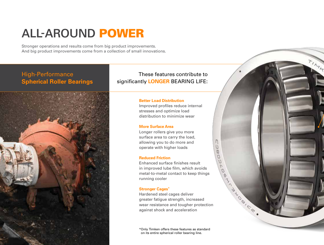# **ALL-AROUND** POWER

Stronger operations and results come from big product improvements. And big product improvements come from a collection of small innovations.

### High-Performance **Spherical Roller Bearings**



These features contribute to significantly **LONGER** BEARING LIFE:

#### **Better Load Distribution**

Improved profiles reduce internal stresses and optimize load distribution to minimize wear

#### **More Surface Area**

Longer rollers give you more surface area to carry the load, allowing you to do more and operate with higher loads

#### **Reduced Friction**

Enhanced surface finishes result in improved lube film, which avoids metal-to-metal contact to keep things running cooler

#### **Stronger Cages\***

Hardened steel cages deliver greater fatigue strength, increased wear resistance and tougher protection against shock and acceleration

\* Only Timken offers these features as standard on its entire spherical roller bearing line.

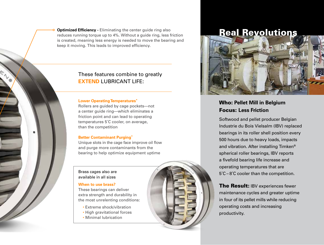**Optimized Efficiency - Eliminating the center guide ring also** reduces running torque up to 4%. Without a guide ring, less friction is created, meaning less energy is needed to move the bearing and keep it moving. This leads to improved efficiency.

### These features combine to greatly **EXTEND** LUBRICANT LIFE:

#### **Lower Operating Temperatures\***

Rollers are guided by cage pockets—not a center guide ring—which eliminates a friction point and can lead to operating temperatures 5˚C cooler, on average, than the competition

#### **Better Contaminant Purging\***

Unique slots in the cage face improve oil flow and purge more contaminants from the bearing to help optimize equipment uptime

#### Brass cages also are available in all sizes

#### **When to use brass?**

These bearings can deliver extra strength and durability in the most unrelenting conditions:

- Extreme shock/vibration
- High gravitational forces
- Minimal lubrication

### Real Revolutions



### Who: **Pellet Mill in Belgium** Focus: **Less Friction**

Softwood and pellet producer Belgian Industrie du Bois Vielsalm (IBV) replaced bearings in its roller shell position every 500 hours due to heavy loads, impacts and vibration. After installing Timken® spherical roller bearings, IBV reports a fivefold bearing life increase and operating temperatures that are 5˚C – 8˚C cooler than the competition.

The Result: IBV experiences fewer maintenance cycles and greater uptime in four of its pellet mills while reducing operating costs and increasing productivity.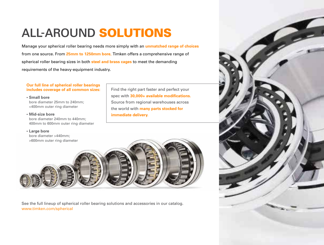# **ALL-AROUND** SOLUTIONS

Manage your spherical roller bearing needs more simply with an **unmatched range of choices** from one source. From **25mm to 1250mm bore**, Timken offers a comprehensive range of spherical roller bearing sizes in both **steel and brass cages** to meet the demanding requirements of the heavy-equipment industry.

#### **Our full line of spherical roller bearings includes coverage of all common sizes:**

**• Small bore** bore diameter 25mm to 240mm; <400mm outer ring diameter

**• Mid-size bore**

bore diameter 240mm to 440mm; 400mm to 600mm outer ring diameter

**• Large bore**

bore diameter >440mm;

Find the right part faster and perfect your spec with **30,000+ available modifications.** Source from regional warehouses across the world with **many parts stocked for immediate delivery.**



See the full lineup of spherical roller bearing solutions and accessories in our catalog. www.timken.com/spherical

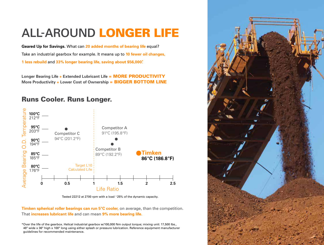# **ALL-AROUND** LONGER LIFE

**Geared Up for Savings.** What can **20 added months of bearing life** equal? Take an industrial gearbox for example. It means up to **10 fewer oil changes, 1 less rebuild** and **33% longer bearing life, saving about \$56,000\* .**

Longer Bearing Life + Extended Lubricant Life = **MORE PRODUCTIVITY More Productivity + Lower Cost of Ownership = BIGGER BOTTOM LINE** 

### Runs Cooler. Runs Longer.



Tested 22212 at 2700 rpm with a load ~25% of the dynamic capacity.

**Timken spherical roller bearings can run 5°C cooler,** on average, than the competition. That **increases lubricant life** and can mean **9% more bearing life.**

\* Over the life of the gearbox. Helical industrial gearbox w/100,000 Nm output torque; mixing unit: 17,500 lbs., 48" wide x 36" high x 100" long using either splash or pressure lubrication. Reference equipment manufacturer guidelines for recommended maintenance.